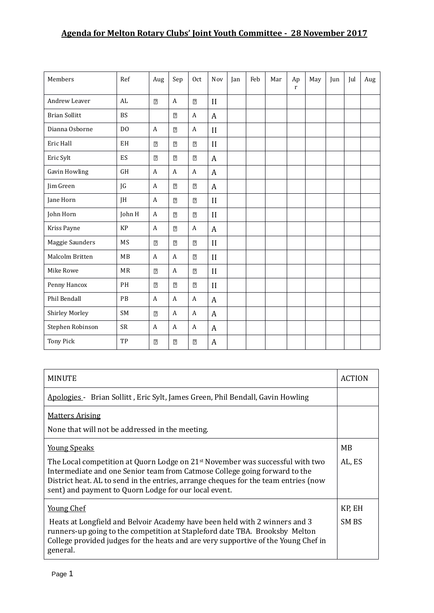## **Agenda for Melton Rotary Clubs' Joint Youth Committee - 28 November 2017**

| Members              | Ref            | Aug            | Sep            | 0 <sub>ct</sub>       | Nov              | Jan | Feb | Mar | Ap<br>$\mathbf r$ | May | Jun | Jul | Aug |
|----------------------|----------------|----------------|----------------|-----------------------|------------------|-----|-----|-----|-------------------|-----|-----|-----|-----|
| Andrew Leaver        | AL             | $\overline{2}$ | A              | $\overline{2}$        | II               |     |     |     |                   |     |     |     |     |
| <b>Brian Sollitt</b> | <b>BS</b>      |                | $\overline{2}$ | $\overline{A}$        | $\boldsymbol{A}$ |     |     |     |                   |     |     |     |     |
| Dianna Osborne       | D <sub>0</sub> | $\mathbf{A}$   | $\overline{2}$ | $\mathbf{A}$          | $\mathbf{I}$     |     |     |     |                   |     |     |     |     |
| Eric Hall            | EH             | $\overline{?}$ | $\overline{2}$ | $\overline{2}$        | II               |     |     |     |                   |     |     |     |     |
| Eric Sylt            | ES             | $\boxed{2}$    | $\overline{2}$ | $\overline{2}$        | $\boldsymbol{A}$ |     |     |     |                   |     |     |     |     |
| <b>Gavin Howling</b> | <b>GH</b>      | $\mathbf{A}$   | A              | $\overline{A}$        | $\boldsymbol{A}$ |     |     |     |                   |     |     |     |     |
| Jim Green            | JG             | A              | $\overline{2}$ | $\overline{2}$        | $\boldsymbol{A}$ |     |     |     |                   |     |     |     |     |
| Jane Horn            | JH             | $\mathbf{A}$   | $\boxed{2}$    | $\overline{c}$        | II               |     |     |     |                   |     |     |     |     |
| John Horn            | John H         | A              | $\overline{2}$ | $\overline{2}$        | $\mathbf{I}$     |     |     |     |                   |     |     |     |     |
| Kriss Payne          | <b>KP</b>      | $\mathbf{A}$   | $\overline{2}$ | $\mathbf{A}$          | $\boldsymbol{A}$ |     |     |     |                   |     |     |     |     |
| Maggie Saunders      | MS             | $\overline{2}$ | $\overline{2}$ | $\overline{2}$        | $\mathbf{I}$     |     |     |     |                   |     |     |     |     |
| Malcolm Britten      | MB             | $\mathbf{A}$   | A              | $\overline{2}$        | II               |     |     |     |                   |     |     |     |     |
| Mike Rowe            | <b>MR</b>      | $\boxed{2}$    | A              | $\overline{2}$        | II               |     |     |     |                   |     |     |     |     |
| Penny Hancox         | PH             | $\overline{2}$ | $\boxed{2}$    | $\overline{2}$        | $\mathbf{I}$     |     |     |     |                   |     |     |     |     |
| Phil Bendall         | PB             | A              | A              | $\mathbf{A}$          | $\boldsymbol{A}$ |     |     |     |                   |     |     |     |     |
| Shirley Morley       | SM             | $\overline{2}$ | A              | $\boldsymbol{A}$      | A                |     |     |     |                   |     |     |     |     |
| Stephen Robinson     | <b>SR</b>      | A              | A              | A                     | $\boldsymbol{A}$ |     |     |     |                   |     |     |     |     |
| Tony Pick            | TP             | $\overline{2}$ | $\overline{2}$ | $\overline{\text{2}}$ | A                |     |     |     |                   |     |     |     |     |

| <b>MINUTE</b>                                                                                                                                                                                                                                                                                                                             | <b>ACTION</b>   |  |  |
|-------------------------------------------------------------------------------------------------------------------------------------------------------------------------------------------------------------------------------------------------------------------------------------------------------------------------------------------|-----------------|--|--|
| Apologies - Brian Sollitt, Eric Sylt, James Green, Phil Bendall, Gavin Howling                                                                                                                                                                                                                                                            |                 |  |  |
| <b>Matters Arising</b><br>None that will not be addressed in the meeting.                                                                                                                                                                                                                                                                 |                 |  |  |
| <u>Young Speaks</u><br>The Local competition at Quorn Lodge on $21^{st}$ November was successful with two<br>Intermediate and one Senior team from Catmose College going forward to the<br>District heat. AL to send in the entries, arrange cheques for the team entries (now                                                            |                 |  |  |
| sent) and payment to Quorn Lodge for our local event.<br><b>Young Chef</b><br>Heats at Longfield and Belvoir Academy have been held with 2 winners and 3<br>runners-up going to the competition at Stapleford date TBA. Brooksby Melton<br>College provided judges for the heats and are very supportive of the Young Chef in<br>general. | KP, EH<br>SM BS |  |  |